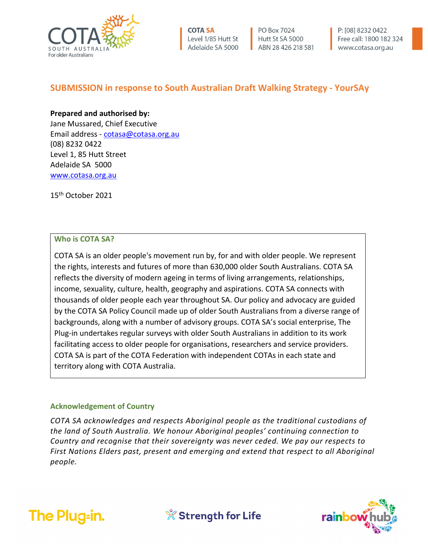

PO Box 7024 Hutt St SA 5000 ABN 28 426 218 581 P: [08] 8232 0422 Free call: 1800 182 324 www.cotasa.org.au

# **SUBMISSION in response to South Australian Draft Walking Strategy - YourSAy**

## **Prepared and authorised by:**

Jane Mussared, Chief Executive Email address - [cotasa@cotasa.org.au](mailto:cotasa@cotasa.org.au) (08) 8232 0422 Level 1, 85 Hutt Street Adelaide SA 5000 [www.cotasa.org.au](http://www.cotasa.org.au/)

15th October 2021

## **Who is COTA SA?**

COTA SA is an older people's movement run by, for and with older people. We represent the rights, interests and futures of more than 630,000 older South Australians. COTA SA reflects the diversity of modern ageing in terms of living arrangements, relationships, income, sexuality, culture, health, geography and aspirations. COTA SA connects with thousands of older people each year throughout SA. Our policy and advocacy are guided by the COTA SA Policy Council made up of older South Australians from a diverse range of backgrounds, along with a number of advisory groups. COTA SA's social enterprise, The Plug-in undertakes regular surveys with older South Australians in addition to its work facilitating access to older people for organisations, researchers and service providers. COTA SA is part of the COTA Federation with independent COTAs in each state and territory along with COTA Australia.

## **Acknowledgement of Country**

*COTA SA acknowledges and respects Aboriginal people as the traditional custodians of the land of South Australia. We honour Aboriginal peoples' continuing connection to Country and recognise that their sovereignty was never ceded. We pay our respects to First Nations Elders past, present and emerging and extend that respect to all Aboriginal people.*



**X** Strength for Life

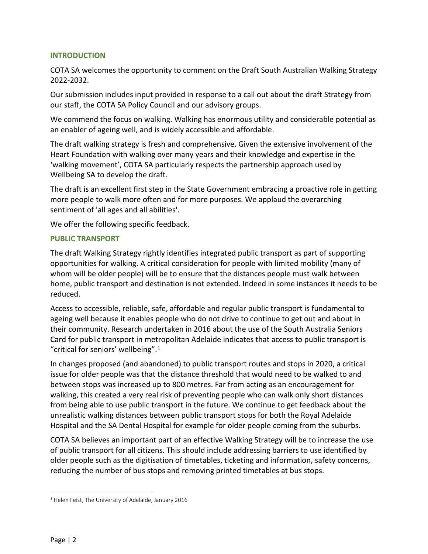## **INTRODUCTION**

COTA SA welcomes the opportunity to comment on the Draft South Australian Walking Strategy 2022-2032.

Our submission includes input provided in response to a call out about the draft Strategy from our staff, the COTA SA Policy Council and our advisory groups.

We commend the focus on walking. Walking has enormous utility and considerable potential as an enabler of ageing well, and is widely accessible and affordable.

The draft walking strategy is fresh and comprehensive. Given the extensive involvement of the Heart Foundation with walking over many years and their knowledge and expertise in the 'walking movement', COTA SA particularly respects the partnership approach used by Wellbeing SA to develop the draft.

The draft is an excellent first step in the State Government embracing a proactive role in getting more people to walk more often and for more purposes. We applaud the overarching sentiment of 'all ages and all abilities'.

We offer the following specific feedback.

## **PUBLIC TRANSPORT**

The draft Walking Strategy rightly identifies integrated public transport as part of supporting opportunities for walking. A critical consideration for people with limited mobility (many of whom will be older people) will be to ensure that the distances people must walk between home, public transport and destination is not extended. Indeed in some instances it needs to be reduced.

Access to accessible, reliable, safe, affordable and regular public transport is fundamental to ageing well because it enables people who do not drive to continue to get out and about in their community. Research undertaken in 2016 about the use of the South Australia Seniors Card for public transport in metropolitan Adelaide indicates that access to public transport is "critical for seniors' wellbeing". $1$ 

In changes proposed (and abandoned) to public transport routes and stops in 2020, a critical issue for older people was that the distance threshold that would need to be walked to and between stops was increased up to 800 metres. Far from acting as an encouragement for walking, this created a very real risk of preventing people who can walk only short distances from being able to use public transport in the future. We continue to get feedback about the unrealistic walking distances between public transport stops for both the Royal Adelaide Hospital and the SA Dental Hospital for example for older people coming from the suburbs.

COTA SA believes an important part of an effective Walking Strategy will be to increase the use of public transport for all citizens. This should include addressing barriers to use identified by older people such as the digitisation of timetables, ticketing and information, safety concerns, reducing the number of bus stops and removing printed timetables at bus stops.

<span id="page-1-0"></span><sup>1</sup> Helen Feist, The University of Adelaide, January 2016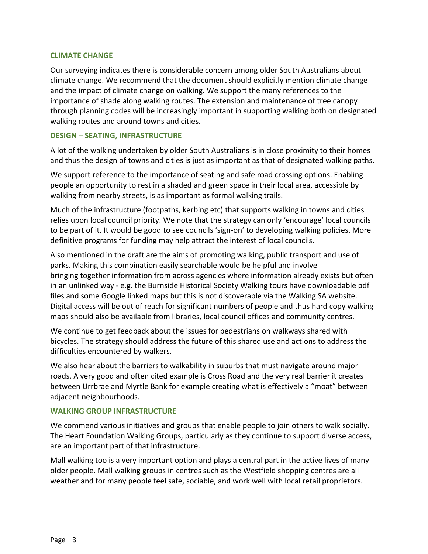#### **CLIMATE CHANGE**

Our surveying indicates there is considerable concern among older South Australians about climate change. We recommend that the document should explicitly mention climate change and the impact of climate change on walking. We support the many references to the importance of shade along walking routes. The extension and maintenance of tree canopy through planning codes will be increasingly important in supporting walking both on designated walking routes and around towns and cities.

### **DESIGN – SEATING, INFRASTRUCTURE**

A lot of the walking undertaken by older South Australians is in close proximity to their homes and thus the design of towns and cities is just as important as that of designated walking paths.

We support reference to the importance of seating and safe road crossing options. Enabling people an opportunity to rest in a shaded and green space in their local area, accessible by walking from nearby streets, is as important as formal walking trails.

Much of the infrastructure (footpaths, kerbing etc) that supports walking in towns and cities relies upon local council priority. We note that the strategy can only 'encourage' local councils to be part of it. It would be good to see councils 'sign-on' to developing walking policies. More definitive programs for funding may help attract the interest of local councils.

Also mentioned in the draft are the aims of promoting walking, public transport and use of parks. Making this combination easily searchable would be helpful and involve bringing together information from across agencies where information already exists but often in an unlinked way - e.g. the Burnside Historical Society Walking tours have downloadable pdf files and some Google linked maps but this is not discoverable via the Walking SA website. Digital access will be out of reach for significant numbers of people and thus hard copy walking maps should also be available from libraries, local council offices and community centres.

We continue to get feedback about the issues for pedestrians on walkways shared with bicycles. The strategy should address the future of this shared use and actions to address the difficulties encountered by walkers.

We also hear about the barriers to walkability in suburbs that must navigate around major roads. A very good and often cited example is Cross Road and the very real barrier it creates between Urrbrae and Myrtle Bank for example creating what is effectively a "moat" between adjacent neighbourhoods.

## **WALKING GROUP INFRASTRUCTURE**

We commend various initiatives and groups that enable people to join others to walk socially. The Heart Foundation Walking Groups, particularly as they continue to support diverse access, are an important part of that infrastructure.

Mall walking too is a very important option and plays a central part in the active lives of many older people. Mall walking groups in centres such as the Westfield shopping centres are all weather and for many people feel safe, sociable, and work well with local retail proprietors.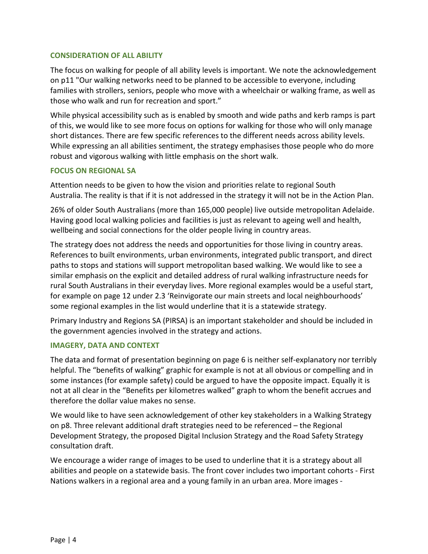## **CONSIDERATION OF ALL ABILITY**

The focus on walking for people of all ability levels is important. We note the acknowledgement on p11 "Our walking networks need to be planned to be accessible to everyone, including families with strollers, seniors, people who move with a wheelchair or walking frame, as well as those who walk and run for recreation and sport."

While physical accessibility such as is enabled by smooth and wide paths and kerb ramps is part of this, we would like to see more focus on options for walking for those who will only manage short distances. There are few specific references to the different needs across ability levels. While expressing an all abilities sentiment, the strategy emphasises those people who do more robust and vigorous walking with little emphasis on the short walk.

## **FOCUS ON REGIONAL SA**

Attention needs to be given to how the vision and priorities relate to regional South Australia. The reality is that if it is not addressed in the strategy it will not be in the Action Plan.

26% of older South Australians (more than 165,000 people) live outside metropolitan Adelaide. Having good local walking policies and facilities is just as relevant to ageing well and health, wellbeing and social connections for the older people living in country areas.

The strategy does not address the needs and opportunities for those living in country areas. References to built environments, urban environments, integrated public transport, and direct paths to stops and stations will support metropolitan based walking. We would like to see a similar emphasis on the explicit and detailed address of rural walking infrastructure needs for rural South Australians in their everyday lives. More regional examples would be a useful start, for example on page 12 under 2.3 'Reinvigorate our main streets and local neighbourhoods' some regional examples in the list would underline that it is a statewide strategy.

Primary Industry and Regions SA (PIRSA) is an important stakeholder and should be included in the government agencies involved in the strategy and actions.

## **IMAGERY, DATA AND CONTEXT**

The data and format of presentation beginning on page 6 is neither self-explanatory nor terribly helpful. The "benefits of walking" graphic for example is not at all obvious or compelling and in some instances (for example safety) could be argued to have the opposite impact. Equally it is not at all clear in the "Benefits per kilometres walked" graph to whom the benefit accrues and therefore the dollar value makes no sense.

We would like to have seen acknowledgement of other key stakeholders in a Walking Strategy on p8. Three relevant additional draft strategies need to be referenced – the Regional Development Strategy, the proposed Digital Inclusion Strategy and the Road Safety Strategy consultation draft.

We encourage a wider range of images to be used to underline that it is a strategy about all abilities and people on a statewide basis. The front cover includes two important cohorts - First Nations walkers in a regional area and a young family in an urban area. More images -